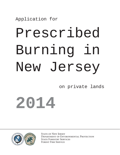Application for

# Prescribed Burning in New Jersey

on private lands

**2014**



STATE OF NEW JERSEY Department of Environmental Protection STATE FORESTRY SERVICES Forest Fire Service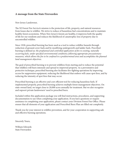## **A message from the State Firewarden**

New Jersey Landowner,

The NJ Forest Fire Service's mission is the protection of life, property, and natural resources from losses due to wildfire. We strive to reduce of hazardous fuel concentrations and to maintain healthy forest ecosystems. When New Jersey's forests are healthy, it improves both the quality of life for our residents and reduces the likelihood of catastrophic loss of property due to uncontrolled wildfire.

Since 1928, prescribed burning has been used as a tool to reduce wildfire hazards through reduction of ground cover fuels and by modifying undergrowth and ladder fuels. Precribed burning is defined as: *the preplanned and controlled application of fire to existing, naturally occurring fuels, under specified environmental conditions; following appropriate precautionary measures, which allows the fire to be confined to a predetermined area and accomplishes the planned land management objectives.*

The goal of prescribed burning is to prevent wildfires from starting and to reduce the potential that wildfires will burn intensely and spread to improved property. As a preventative and protective technique, prescribed burning also facilitates fire-fighting operations by improving access for suppression equipment, reducing the likelihood that embers will cause spot fires, and by reducing the intensity of spot fires that may occur.

Prescribed burning is an effective and cost-efficient tool for reducing hazardous fuels. If implemented properly, prescribed burning achieves multiple forest management objectives. On state-owned land, we target close to 20,000 acres annually for treatment. But we also recognize and supoort private landowners' need to prescibed burn.

Included within this application package you will find instructions, procedures, and supporting documentation to use when completing your application. If you have questions or require assistance in completing your application, please contact your Division Forest Fire Office. Please ensure that all elements of your application and Prescribed Burn Plan are filled out completely.

Thank you for your interest in wildfire prevention, and for your cooperation in supporting safe and effective burning operations.

Sincerely Yours,

William Edwards State Firewarden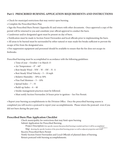# **Part I. PRESCRIBED BURNING APPLICATION REQUIREMENTS AND INSTRUCTIONS**

- Check for municipal restrictions that may restrict open burning.
- Complete the Prescribed Burn Plan
- Sign the Prescribed Burn Permit (Appendix B) and return with other documents. Once approved a copy of the permit will be returned to you and constitute your official approval to conduct the burn.
- Landowner and/or designated agent must be present on day of burn.
- Notification must be made to Section Forest Firewarden and local officials prior to implementing the burn.

• All areas to be burned must be surrounded by either natural or man-made fire breaks sufficient to prevent the escape of fire from the designated area.

• Fire suppression equipment and personnel should be available to ensure that the fire does not escape its firebreaks.

Prescribed burning must be accomplished in accordance with the following guidelines:

- Time of year October 1 to March 15
- Air Temperature  $0^{\circ}$   $60^{\circ}$
- Best Steady Wind NW W SW N –S
- Best Steady Wind Velocity 5 10 mph
- Relative Humidity 30% to 50%
- Fine Fuel Moisture 5 10%
- Spread Index 7 35
- Build-up Index 6 40
- Smoke management practices must be followed.
- Must notify Section Firewarden 24 hours prior to ignition See Fire Permit.

• Report your burning accomplishments to the Division Office. Once the prescribed burning season is completed you will receive a postcard to report your accomplishments. Please return the postcard even if you did not burn during the past year.

# **Prescribed Burn Plan Application Checklist**

 Check municipality for restrictions that may limit open burning Submit Application for Prescribed Burning

Project Description Give specific reasons that prescribed burning is needed and how it will be accomplished  $\frac{\text{``see Appendix A)}\text{``See Appendix A}}{\text{``See Appendix A}''}$ Project Description Give specific reasons that prescribed burning is needed and how it will be accomplish<br>Map showing the specific location of the prescribed burning project as well as adjacent properties and roads Map showing the specific location<br>Receive Prescribed Burn Permit Receive Prescribed Burn Permit<br>Notify Section Forest Firewarden and Local Officials of planned dates of burning.

Return postcard with burning accomplishments.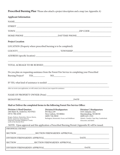**Prescribed Burning Plan** \*Please also attach a project description and a map (see Appendix A)

| <b>Applicant Information</b>                                                                                                                                                                                                                     |                                                                                                                                          |                                                                                                                                                                          |  |
|--------------------------------------------------------------------------------------------------------------------------------------------------------------------------------------------------------------------------------------------------|------------------------------------------------------------------------------------------------------------------------------------------|--------------------------------------------------------------------------------------------------------------------------------------------------------------------------|--|
|                                                                                                                                                                                                                                                  |                                                                                                                                          |                                                                                                                                                                          |  |
|                                                                                                                                                                                                                                                  |                                                                                                                                          |                                                                                                                                                                          |  |
|                                                                                                                                                                                                                                                  |                                                                                                                                          |                                                                                                                                                                          |  |
|                                                                                                                                                                                                                                                  |                                                                                                                                          |                                                                                                                                                                          |  |
| <b>Project Location</b>                                                                                                                                                                                                                          |                                                                                                                                          |                                                                                                                                                                          |  |
|                                                                                                                                                                                                                                                  | LOCATION (Property where prescribed burning is to be completed):                                                                         |                                                                                                                                                                          |  |
|                                                                                                                                                                                                                                                  |                                                                                                                                          |                                                                                                                                                                          |  |
|                                                                                                                                                                                                                                                  |                                                                                                                                          |                                                                                                                                                                          |  |
|                                                                                                                                                                                                                                                  |                                                                                                                                          |                                                                                                                                                                          |  |
|                                                                                                                                                                                                                                                  | Do you plan on requesting assistance from the Forest Fire Service in completing your Prescribed                                          |                                                                                                                                                                          |  |
|                                                                                                                                                                                                                                                  |                                                                                                                                          |                                                                                                                                                                          |  |
| After we reveiw your application, we will contact you to discuss your request for assistance.                                                                                                                                                    |                                                                                                                                          |                                                                                                                                                                          |  |
|                                                                                                                                                                                                                                                  |                                                                                                                                          |                                                                                                                                                                          |  |
|                                                                                                                                                                                                                                                  | Mail or Deliver the completed forms to the following Forest Fire Service Office:                                                         |                                                                                                                                                                          |  |
| <b>Division A Head Quarters</b><br>240 Main St, Andover, NJ 07821<br>$(973) 786 - 6350$<br>Bergen, Hudson, Hunterdon, Mercer, Morris,<br>Passaic, Somerset, Sussex, Warren,<br>Hopewell Township, Middlesex County<br>north of the Raritan River | <b>Division B Headquarters</b><br>PO Box 239<br>New Lisbon, NJ 08064<br>$(609) 726 - 9010$<br>Burlington, Monmouth, Ocean, and Middlesex | <b>Division C Headquarters</b><br>5555 Atlantic Ave.<br>Mayslanding, NJ 08330<br>$(609) 625 - 1121$<br>Atlantic, Camden, Cape May, Cumberland,<br>Gloucester, and Salem. |  |
|                                                                                                                                                                                                                                                  | NOTE: Upon approval and this application a Prescribed Burning Permit (Appendix B) will be issued.                                        |                                                                                                                                                                          |  |
| FOR OFFICIAL USE ONLY                                                                                                                                                                                                                            |                                                                                                                                          |                                                                                                                                                                          |  |
|                                                                                                                                                                                                                                                  |                                                                                                                                          |                                                                                                                                                                          |  |
|                                                                                                                                                                                                                                                  |                                                                                                                                          |                                                                                                                                                                          |  |
|                                                                                                                                                                                                                                                  |                                                                                                                                          |                                                                                                                                                                          |  |
|                                                                                                                                                                                                                                                  |                                                                                                                                          |                                                                                                                                                                          |  |